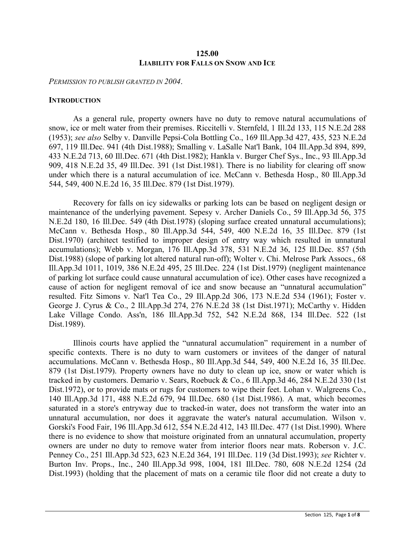## **125.00 LIABILITY FOR FALLS ON SNOW AND ICE**

*PERMISSION TO PUBLISH GRANTED IN 2004*.

#### **INTRODUCTION**

As a general rule, property owners have no duty to remove natural accumulations of snow, ice or melt water from their premises. Riccitelli v. Sternfeld, 1 Ill.2d 133, 115 N.E.2d 288 (1953); *see also* Selby v. Danville Pepsi-Cola Bottling Co., 169 Ill.App.3d 427, 435, 523 N.E.2d 697, 119 Ill.Dec. 941 (4th Dist.1988); Smalling v. LaSalle Nat'l Bank, 104 Ill.App.3d 894, 899, 433 N.E.2d 713, 60 Ill.Dec. 671 (4th Dist.1982); Hankla v. Burger Chef Sys., Inc., 93 Ill.App.3d 909, 418 N.E.2d 35, 49 Ill.Dec. 391 (1st Dist.1981). There is no liability for clearing off snow under which there is a natural accumulation of ice. McCann v. Bethesda Hosp., 80 Ill.App.3d 544, 549, 400 N.E.2d 16, 35 Ill.Dec. 879 (1st Dist.1979).

Recovery for falls on icy sidewalks or parking lots can be based on negligent design or maintenance of the underlying pavement. Sepesy v. Archer Daniels Co., 59 Ill.App.3d 56, 375 N.E.2d 180, 16 Ill.Dec. 549 (4th Dist.1978) (sloping surface created unnatural accumulations); McCann v. Bethesda Hosp., 80 Ill.App.3d 544, 549, 400 N.E.2d 16, 35 Ill.Dec. 879 (1st Dist.1970) (architect testified to improper design of entry way which resulted in unnatural accumulations); Webb v. Morgan, 176 Ill.App.3d 378, 531 N.E.2d 36, 125 Ill.Dec. 857 (5th Dist.1988) (slope of parking lot altered natural run-off); Wolter v. Chi. Melrose Park Assocs., 68 Ill.App.3d 1011, 1019, 386 N.E.2d 495, 25 Ill.Dec. 224 (1st Dist.1979) (negligent maintenance of parking lot surface could cause unnatural accumulation of ice). Other cases have recognized a cause of action for negligent removal of ice and snow because an "unnatural accumulation" resulted. Fitz Simons v. Nat'l Tea Co., 29 Ill.App.2d 306, 173 N.E.2d 534 (1961); Foster v. George J. Cyrus & Co., 2 Ill.App.3d 274, 276 N.E.2d 38 (1st Dist.1971); McCarthy v. Hidden Lake Village Condo. Ass'n, 186 Ill.App.3d 752, 542 N.E.2d 868, 134 Ill.Dec. 522 (1st Dist.1989).

Illinois courts have applied the "unnatural accumulation" requirement in a number of specific contexts. There is no duty to warn customers or invitees of the danger of natural accumulations. McCann v. Bethesda Hosp., 80 Ill.App.3d 544, 549, 400 N.E.2d 16, 35 Ill.Dec. 879 (1st Dist.1979). Property owners have no duty to clean up ice, snow or water which is tracked in by customers. Demario v. Sears, Roebuck & Co., 6 Ill.App.3d 46, 284 N.E.2d 330 (1st Dist.1972), or to provide mats or rugs for customers to wipe their feet. Lohan v. Walgreens Co., 140 Ill.App.3d 171, 488 N.E.2d 679, 94 Ill.Dec. 680 (1st Dist.1986). A mat, which becomes saturated in a store's entryway due to tracked-in water, does not transform the water into an unnatural accumulation, nor does it aggravate the water's natural accumulation. Wilson v. Gorski's Food Fair, 196 Ill.App.3d 612, 554 N.E.2d 412, 143 Ill.Dec. 477 (1st Dist.1990). Where there is no evidence to show that moisture originated from an unnatural accumulation, property owners are under no duty to remove water from interior floors near mats. Roberson v. J.C. Penney Co., 251 Ill.App.3d 523, 623 N.E.2d 364, 191 Ill.Dec. 119 (3d Dist.1993); *see* Richter v. Burton Inv. Props., Inc., 240 Ill.App.3d 998, 1004, 181 Ill.Dec. 780, 608 N.E.2d 1254 (2d Dist.1993) (holding that the placement of mats on a ceramic tile floor did not create a duty to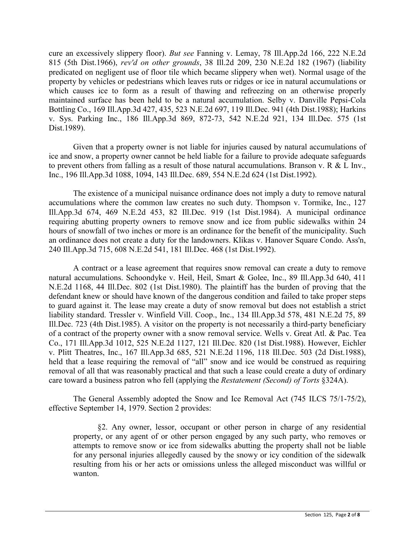cure an excessively slippery floor). *But see* Fanning v. Lemay, 78 Ill.App.2d 166, 222 N.E.2d 815 (5th Dist.1966), *rev'd on other grounds*, 38 Ill.2d 209, 230 N.E.2d 182 (1967) (liability predicated on negligent use of floor tile which became slippery when wet). Normal usage of the property by vehicles or pedestrians which leaves ruts or ridges or ice in natural accumulations or which causes ice to form as a result of thawing and refreezing on an otherwise properly maintained surface has been held to be a natural accumulation. Selby v. Danville Pepsi-Cola Bottling Co., 169 Ill.App.3d 427, 435, 523 N.E.2d 697, 119 Ill.Dec. 941 (4th Dist.1988); Harkins v. Sys. Parking Inc., 186 Ill.App.3d 869, 872-73, 542 N.E.2d 921, 134 Ill.Dec. 575 (1st Dist.1989).

Given that a property owner is not liable for injuries caused by natural accumulations of ice and snow, a property owner cannot be held liable for a failure to provide adequate safeguards to prevent others from falling as a result of those natural accumulations. Branson v. R & L Inv., Inc., 196 Ill.App.3d 1088, 1094, 143 Ill.Dec. 689, 554 N.E.2d 624 (1st Dist.1992).

The existence of a municipal nuisance ordinance does not imply a duty to remove natural accumulations where the common law creates no such duty. Thompson v. Tormike, Inc., 127 Ill.App.3d 674, 469 N.E.2d 453, 82 Ill.Dec. 919 (1st Dist.1984). A municipal ordinance requiring abutting property owners to remove snow and ice from public sidewalks within 24 hours of snowfall of two inches or more is an ordinance for the benefit of the municipality. Such an ordinance does not create a duty for the landowners. Klikas v. Hanover Square Condo. Ass'n, 240 Ill.App.3d 715, 608 N.E.2d 541, 181 Ill.Dec. 468 (1st Dist.1992).

A contract or a lease agreement that requires snow removal can create a duty to remove natural accumulations. Schoondyke v. Heil, Heil, Smart & Golee, Inc., 89 Ill.App.3d 640, 411 N.E.2d 1168, 44 Ill.Dec. 802 (1st Dist.1980). The plaintiff has the burden of proving that the defendant knew or should have known of the dangerous condition and failed to take proper steps to guard against it. The lease may create a duty of snow removal but does not establish a strict liability standard. Tressler v. Winfield Vill. Coop., Inc., 134 Ill.App.3d 578, 481 N.E.2d 75, 89 Ill.Dec. 723 (4th Dist.1985). A visitor on the property is not necessarily a third-party beneficiary of a contract of the property owner with a snow removal service. Wells v. Great Atl. & Pac. Tea Co., 171 Ill.App.3d 1012, 525 N.E.2d 1127, 121 Ill.Dec. 820 (1st Dist.1988). However, Eichler v. Plitt Theatres, Inc., 167 Ill.App.3d 685, 521 N.E.2d 1196, 118 Ill.Dec. 503 (2d Dist.1988), held that a lease requiring the removal of "all" snow and ice would be construed as requiring removal of all that was reasonably practical and that such a lease could create a duty of ordinary care toward a business patron who fell (applying the *Restatement (Second) of Torts* §324A).

The General Assembly adopted the Snow and Ice Removal Act (745 ILCS 75/1-75/2), effective September 14, 1979. Section 2 provides:

§2. Any owner, lessor, occupant or other person in charge of any residential property, or any agent of or other person engaged by any such party, who removes or attempts to remove snow or ice from sidewalks abutting the property shall not be liable for any personal injuries allegedly caused by the snowy or icy condition of the sidewalk resulting from his or her acts or omissions unless the alleged misconduct was willful or wanton.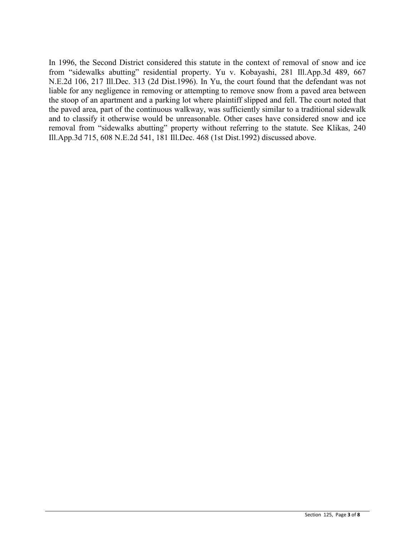In 1996, the Second District considered this statute in the context of removal of snow and ice from "sidewalks abutting" residential property. Yu v. Kobayashi, 281 Ill.App.3d 489, 667 N.E.2d 106, 217 Ill.Dec. 313 (2d Dist.1996). In Yu, the court found that the defendant was not liable for any negligence in removing or attempting to remove snow from a paved area between the stoop of an apartment and a parking lot where plaintiff slipped and fell. The court noted that the paved area, part of the continuous walkway, was sufficiently similar to a traditional sidewalk and to classify it otherwise would be unreasonable. Other cases have considered snow and ice removal from "sidewalks abutting" property without referring to the statute. See Klikas, 240 Ill.App.3d 715, 608 N.E.2d 541, 181 Ill.Dec. 468 (1st Dist.1992) discussed above.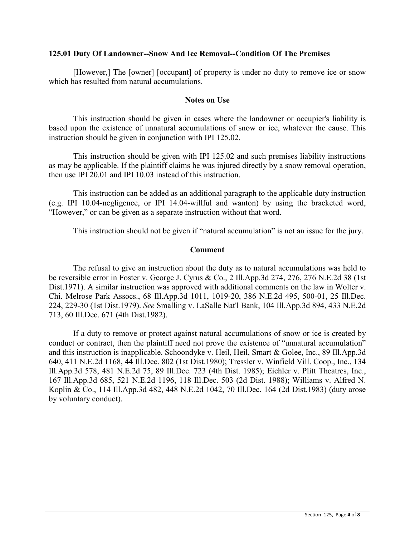## **125.01 Duty Of Landowner--Snow And Ice Removal--Condition Of The Premises**

[However,] The [owner] [occupant] of property is under no duty to remove ice or snow which has resulted from natural accumulations.

## **Notes on Use**

This instruction should be given in cases where the landowner or occupier's liability is based upon the existence of unnatural accumulations of snow or ice, whatever the cause. This instruction should be given in conjunction with IPI 125.02.

This instruction should be given with IPI 125.02 and such premises liability instructions as may be applicable. If the plaintiff claims he was injured directly by a snow removal operation, then use IPI 20.01 and IPI 10.03 instead of this instruction.

This instruction can be added as an additional paragraph to the applicable duty instruction (e.g. IPI 10.04-negligence, or IPI 14.04-willful and wanton) by using the bracketed word, "However," or can be given as a separate instruction without that word.

This instruction should not be given if "natural accumulation" is not an issue for the jury.

# **Comment**

The refusal to give an instruction about the duty as to natural accumulations was held to be reversible error in Foster v. George J. Cyrus & Co., 2 Ill.App.3d 274, 276, 276 N.E.2d 38 (1st Dist.1971). A similar instruction was approved with additional comments on the law in Wolter v. Chi. Melrose Park Assocs., 68 Ill.App.3d 1011, 1019-20, 386 N.E.2d 495, 500-01, 25 Ill.Dec. 224, 229-30 (1st Dist.1979). *See* Smalling v. LaSalle Nat'l Bank, 104 Ill.App.3d 894, 433 N.E.2d 713, 60 Ill.Dec. 671 (4th Dist.1982).

If a duty to remove or protect against natural accumulations of snow or ice is created by conduct or contract, then the plaintiff need not prove the existence of "unnatural accumulation" and this instruction is inapplicable. Schoondyke v. Heil, Heil, Smart & Golee, Inc., 89 Ill.App.3d 640, 411 N.E.2d 1168, 44 Ill.Dec. 802 (1st Dist.1980); Tressler v. Winfield Vill. Coop., Inc., 134 Ill.App.3d 578, 481 N.E.2d 75, 89 Ill.Dec. 723 (4th Dist. 1985); Eichler v. Plitt Theatres, Inc., 167 Ill.App.3d 685, 521 N.E.2d 1196, 118 Ill.Dec. 503 (2d Dist. 1988); Williams v. Alfred N. Koplin & Co., 114 Ill.App.3d 482, 448 N.E.2d 1042, 70 Ill.Dec. 164 (2d Dist.1983) (duty arose by voluntary conduct).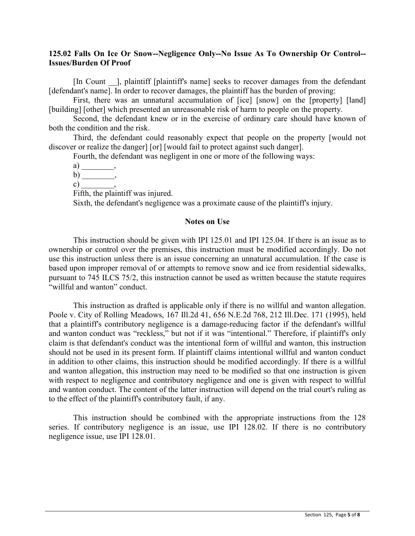# **125.02 Falls On Ice Or Snow--Negligence Only--No Issue As To Ownership Or Control-- Issues/Burden Of Proof**

[In Count \_\_], plaintiff [plaintiff's name] seeks to recover damages from the defendant [defendant's name]. In order to recover damages, the plaintiff has the burden of proving:

First, there was an unnatural accumulation of [ice] [snow] on the [property] [land] [building] [other] which presented an unreasonable risk of harm to people on the property.

Second, the defendant knew or in the exercise of ordinary care should have known of both the condition and the risk.

Third, the defendant could reasonably expect that people on the property [would not discover or realize the danger] [or] [would fail to protect against such danger].

Fourth, the defendant was negligent in one or more of the following ways:

a) \_\_\_\_\_\_\_\_\_\_\_\_\_,

b) \_\_\_\_\_\_\_\_,

c),

Fifth, the plaintiff was injured.

Sixth, the defendant's negligence was a proximate cause of the plaintiff's injury.

### **Notes on Use**

This instruction should be given with IPI 125.01 and IPI 125.04. If there is an issue as to ownership or control over the premises, this instruction must be modified accordingly. Do not use this instruction unless there is an issue concerning an unnatural accumulation. If the case is based upon improper removal of or attempts to remove snow and ice from residential sidewalks, pursuant to 745 ILCS 75/2, this instruction cannot be used as written because the statute requires "willful and wanton" conduct.

This instruction as drafted is applicable only if there is no willful and wanton allegation. Poole v. City of Rolling Meadows, 167 Ill.2d 41, 656 N.E.2d 768, 212 Ill.Dec. 171 (1995), held that a plaintiff's contributory negligence is a damage-reducing factor if the defendant's willful and wanton conduct was "reckless," but not if it was "intentional." Therefore, if plaintiff's only claim is that defendant's conduct was the intentional form of willful and wanton, this instruction should not be used in its present form. If plaintiff claims intentional willful and wanton conduct in addition to other claims, this instruction should be modified accordingly. If there is a willful and wanton allegation, this instruction may need to be modified so that one instruction is given with respect to negligence and contributory negligence and one is given with respect to willful and wanton conduct. The content of the latter instruction will depend on the trial court's ruling as to the effect of the plaintiff's contributory fault, if any.

This instruction should be combined with the appropriate instructions from the 128 series. If contributory negligence is an issue, use IPI 128.02. If there is no contributory negligence issue, use IPI 128.01.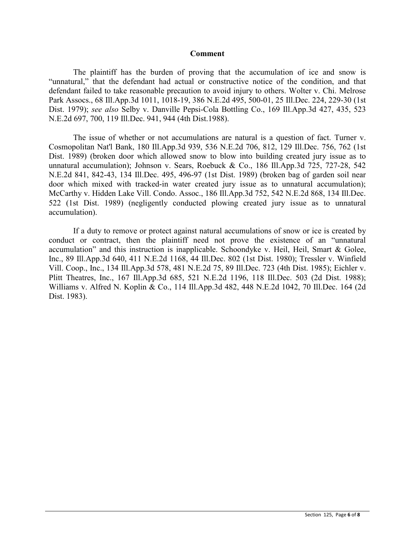#### **Comment**

The plaintiff has the burden of proving that the accumulation of ice and snow is "unnatural," that the defendant had actual or constructive notice of the condition, and that defendant failed to take reasonable precaution to avoid injury to others. Wolter v. Chi. Melrose Park Assocs., 68 Ill.App.3d 1011, 1018-19, 386 N.E.2d 495, 500-01, 25 Ill.Dec. 224, 229-30 (1st Dist. 1979); *see also* Selby v. Danville Pepsi-Cola Bottling Co., 169 Ill.App.3d 427, 435, 523 N.E.2d 697, 700, 119 Ill.Dec. 941, 944 (4th Dist.1988).

The issue of whether or not accumulations are natural is a question of fact. Turner v. Cosmopolitan Nat'l Bank, 180 Ill.App.3d 939, 536 N.E.2d 706, 812, 129 Ill.Dec. 756, 762 (1st Dist. 1989) (broken door which allowed snow to blow into building created jury issue as to unnatural accumulation); Johnson v. Sears, Roebuck & Co., 186 Ill.App.3d 725, 727-28, 542 N.E.2d 841, 842-43, 134 Ill.Dec. 495, 496-97 (1st Dist. 1989) (broken bag of garden soil near door which mixed with tracked-in water created jury issue as to unnatural accumulation); McCarthy v. Hidden Lake Vill. Condo. Assoc., 186 Ill.App.3d 752, 542 N.E.2d 868, 134 Ill.Dec. 522 (1st Dist. 1989) (negligently conducted plowing created jury issue as to unnatural accumulation).

If a duty to remove or protect against natural accumulations of snow or ice is created by conduct or contract, then the plaintiff need not prove the existence of an "unnatural accumulation" and this instruction is inapplicable. Schoondyke v. Heil, Heil, Smart & Golee, Inc., 89 Ill.App.3d 640, 411 N.E.2d 1168, 44 Ill.Dec. 802 (1st Dist. 1980); Tressler v. Winfield Vill. Coop., Inc., 134 Ill.App.3d 578, 481 N.E.2d 75, 89 Ill.Dec. 723 (4th Dist. 1985); Eichler v. Plitt Theatres, Inc., 167 Ill.App.3d 685, 521 N.E.2d 1196, 118 Ill.Dec. 503 (2d Dist. 1988); Williams v. Alfred N. Koplin & Co., 114 Ill.App.3d 482, 448 N.E.2d 1042, 70 Ill.Dec. 164 (2d Dist. 1983).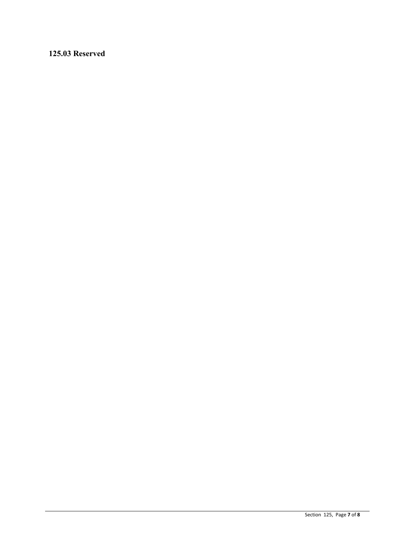# **125.03 Reserved**